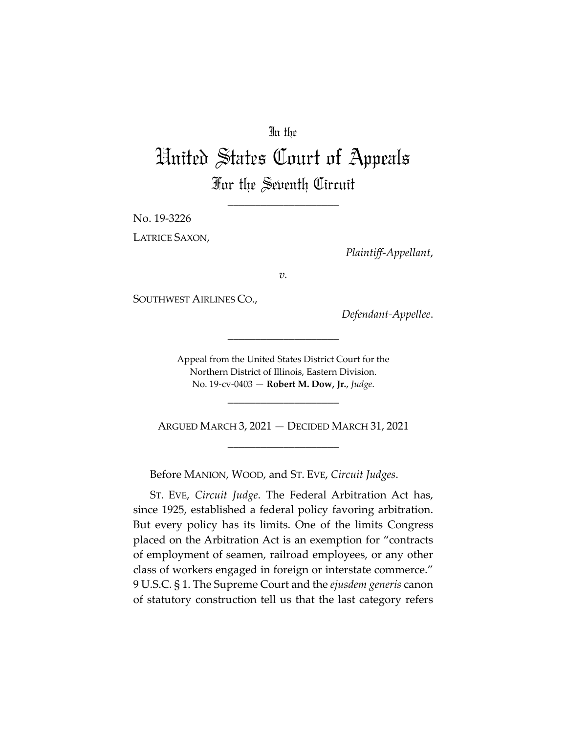# In the

# United States Court of Appeals For the Seventh Circuit

\_\_\_\_\_\_\_\_\_\_\_\_\_\_\_\_\_\_\_\_

No. 19-3226

LATRICE SAXON,

*Plaintiff-Appellant*,

*v.*

SOUTHWEST AIRLINES CO.,

*Defendant-Appellee*.

Appeal from the United States District Court for the Northern District of Illinois, Eastern Division. No. 19-cv-0403 — **Robert M. Dow, Jr.**, *Judge*.

\_\_\_\_\_\_\_\_\_\_\_\_\_\_\_\_\_\_\_\_

ARGUED MARCH 3, 2021 — DECIDED MARCH 31, 2021 \_\_\_\_\_\_\_\_\_\_\_\_\_\_\_\_\_\_\_\_

\_\_\_\_\_\_\_\_\_\_\_\_\_\_\_\_\_\_\_\_

Before MANION, WOOD, and ST. EVE, *Circuit Judges*.

ST. EVE, *Circuit Judge*. The Federal Arbitration Act has, since 1925, established a federal policy favoring arbitration. But every policy has its limits. One of the limits Congress placed on the Arbitration Act is an exemption for "contracts of employment of seamen, railroad employees, or any other class of workers engaged in foreign or interstate commerce." 9 U.S.C. § 1. The Supreme Court and the *ejusdem generis* canon of statutory construction tell us that the last category refers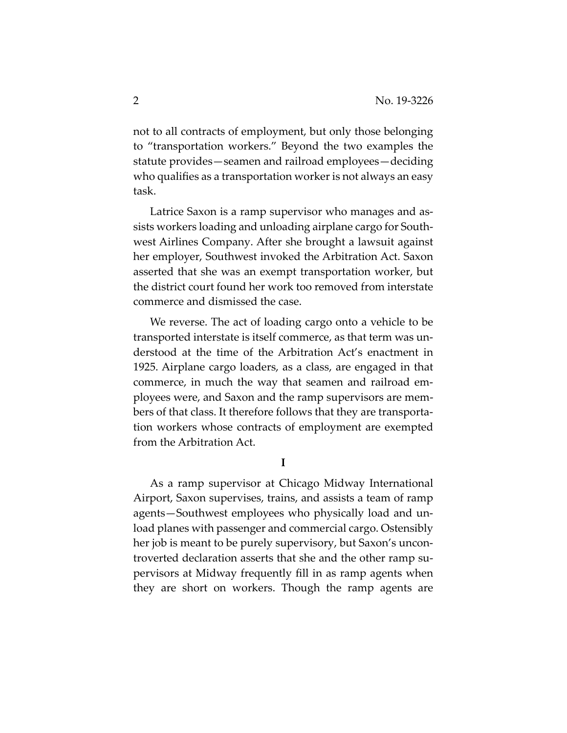not to all contracts of employment, but only those belonging to "transportation workers." Beyond the two examples the statute provides—seamen and railroad employees—deciding who qualifies as a transportation worker is not always an easy task.

Latrice Saxon is a ramp supervisor who manages and assists workers loading and unloading airplane cargo for Southwest Airlines Company. After she brought a lawsuit against her employer, Southwest invoked the Arbitration Act. Saxon asserted that she was an exempt transportation worker, but the district court found her work too removed from interstate commerce and dismissed the case.

We reverse. The act of loading cargo onto a vehicle to be transported interstate is itself commerce, as that term was understood at the time of the Arbitration Act's enactment in 1925. Airplane cargo loaders, as a class, are engaged in that commerce, in much the way that seamen and railroad employees were, and Saxon and the ramp supervisors are members of that class. It therefore follows that they are transportation workers whose contracts of employment are exempted from the Arbitration Act.

**I** 

As a ramp supervisor at Chicago Midway International Airport, Saxon supervises, trains, and assists a team of ramp agents—Southwest employees who physically load and unload planes with passenger and commercial cargo. Ostensibly her job is meant to be purely supervisory, but Saxon's uncontroverted declaration asserts that she and the other ramp supervisors at Midway frequently fill in as ramp agents when they are short on workers. Though the ramp agents are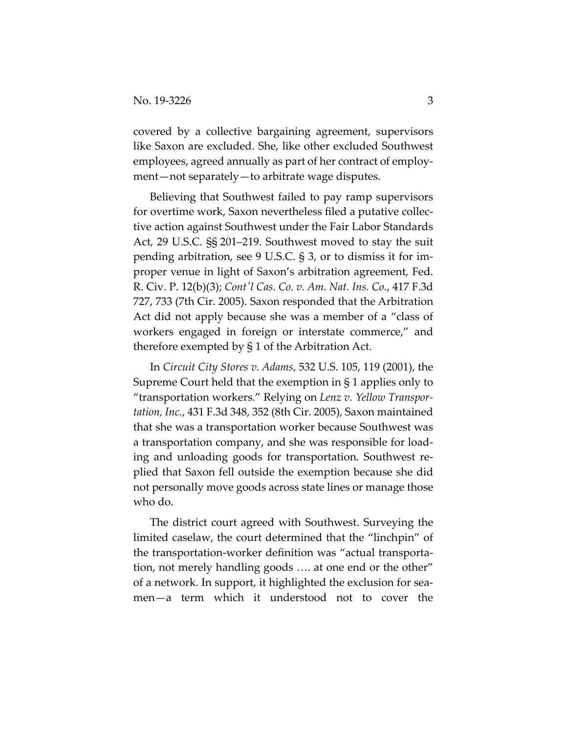covered by a collective bargaining agreement, supervisors like Saxon are excluded. She, like other excluded Southwest employees, agreed annually as part of her contract of employment—not separately—to arbitrate wage disputes.

Believing that Southwest failed to pay ramp supervisors for overtime work, Saxon nevertheless filed a putative collective action against Southwest under the Fair Labor Standards Act, 29 U.S.C. §§ 201–219. Southwest moved to stay the suit pending arbitration, see 9 U.S.C. § 3, or to dismiss it for improper venue in light of Saxon's arbitration agreement, Fed. R. Civ. P. 12(b)(3); *Contʹl Cas. Co. v. Am. Nat. Ins. Co.*, 417 F.3d 727, 733 (7th Cir. 2005). Saxon responded that the Arbitration Act did not apply because she was a member of a "class of workers engaged in foreign or interstate commerce," and therefore exempted by § 1 of the Arbitration Act.

In *Circuit City Stores v. Adams*, 532 U.S. 105, 119 (2001), the Supreme Court held that the exemption in § 1 applies only to "transportation workers." Relying on *Lenz v. Yellow Transportation, Inc.*, 431 F.3d 348, 352 (8th Cir. 2005), Saxon maintained that she was a transportation worker because Southwest was a transportation company, and she was responsible for loading and unloading goods for transportation. Southwest replied that Saxon fell outside the exemption because she did not personally move goods across state lines or manage those who do.

The district court agreed with Southwest. Surveying the limited caselaw, the court determined that the "linchpin" of the transportation-worker definition was "actual transportation, not merely handling goods …. at one end or the other" of a network. In support, it highlighted the exclusion for seamen—a term which it understood not to cover the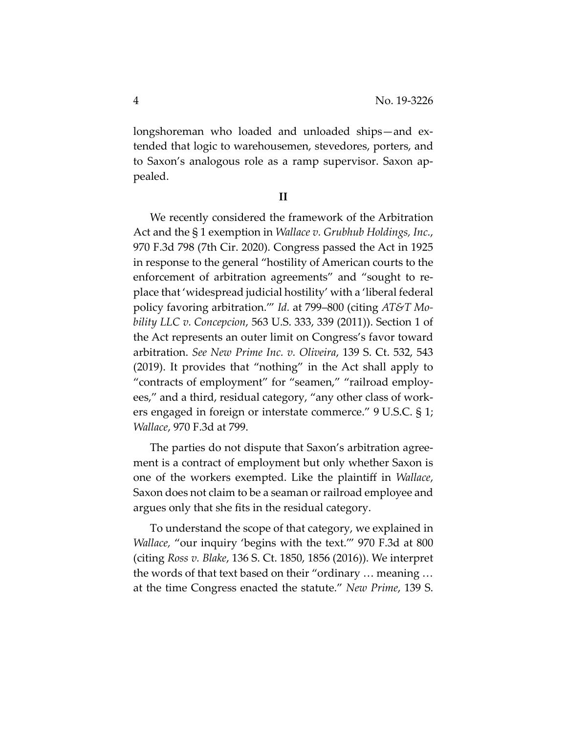longshoreman who loaded and unloaded ships—and extended that logic to warehousemen, stevedores, porters, and to Saxon's analogous role as a ramp supervisor. Saxon appealed.

# **II**

We recently considered the framework of the Arbitration Act and the § 1 exemption in *Wallace v. Grubhub Holdings, Inc.*, 970 F.3d 798 (7th Cir. 2020). Congress passed the Act in 1925 in response to the general "hostility of American courts to the enforcement of arbitration agreements" and "sought to replace that 'widespread judicial hostility' with a 'liberal federal policy favoring arbitration.'" *Id.* at 799–800 (citing *AT&T Mobility LLC v. Concepcion*, 563 U.S. 333, 339 (2011)). Section 1 of the Act represents an outer limit on Congress's favor toward arbitration. *See New Prime Inc. v. Oliveira*, 139 S. Ct. 532, 543 (2019). It provides that "nothing" in the Act shall apply to "contracts of employment" for "seamen," "railroad employees," and a third, residual category, "any other class of workers engaged in foreign or interstate commerce." 9 U.S.C. § 1; *Wallace*, 970 F.3d at 799.

The parties do not dispute that Saxon's arbitration agreement is a contract of employment but only whether Saxon is one of the workers exempted. Like the plaintiff in *Wallace*, Saxon does not claim to be a seaman or railroad employee and argues only that she fits in the residual category.

To understand the scope of that category, we explained in *Wallace,* "our inquiry 'begins with the text.'" 970 F.3d at 800 (citing *Ross v. Blake*, 136 S. Ct. 1850, 1856 (2016)). We interpret the words of that text based on their "ordinary … meaning … at the time Congress enacted the statute." *New Prime*, 139 S.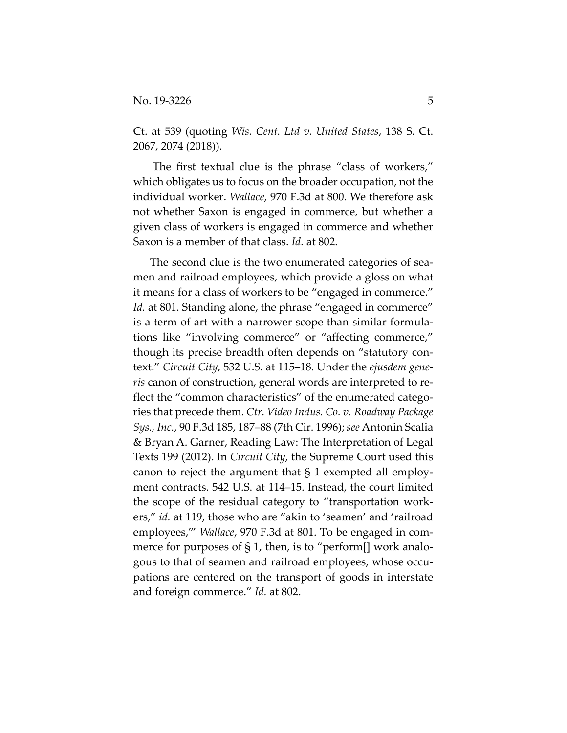Ct. at 539 (quoting *Wis. Cent. Ltd v. United States*, 138 S. Ct. 2067, 2074 (2018)).

 The first textual clue is the phrase "class of workers," which obligates us to focus on the broader occupation, not the individual worker. *Wallace*, 970 F.3d at 800. We therefore ask not whether Saxon is engaged in commerce, but whether a given class of workers is engaged in commerce and whether Saxon is a member of that class. *Id.* at 802.

The second clue is the two enumerated categories of seamen and railroad employees, which provide a gloss on what it means for a class of workers to be "engaged in commerce." *Id.* at 801. Standing alone, the phrase "engaged in commerce" is a term of art with a narrower scope than similar formulations like "involving commerce" or "affecting commerce," though its precise breadth often depends on "statutory context." *Circuit City*, 532 U.S. at 115–18. Under the *ejusdem generis* canon of construction, general words are interpreted to reflect the "common characteristics" of the enumerated categories that precede them. *Ctr. Video Indus. Co. v. Roadway Package Sys., Inc.*, 90 F.3d 185, 187–88 (7th Cir. 1996); *see* Antonin Scalia & Bryan A. Garner, Reading Law: The Interpretation of Legal Texts 199 (2012). In *Circuit City*, the Supreme Court used this canon to reject the argument that § 1 exempted all employment contracts. 542 U.S. at 114–15. Instead, the court limited the scope of the residual category to "transportation workers," *id.* at 119, those who are "akin to 'seamen' and 'railroad employees,'" *Wallace*, 970 F.3d at 801. To be engaged in commerce for purposes of § 1, then, is to "perform[] work analogous to that of seamen and railroad employees, whose occupations are centered on the transport of goods in interstate and foreign commerce." *Id.* at 802.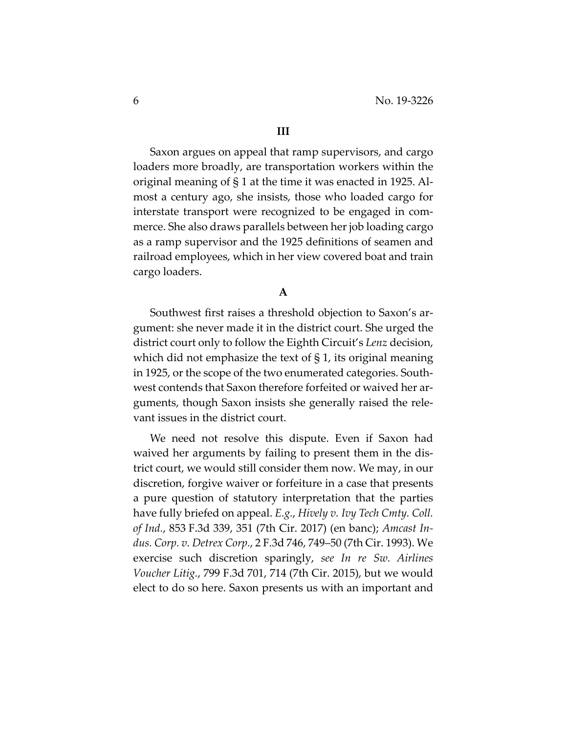#### **III**

Saxon argues on appeal that ramp supervisors, and cargo loaders more broadly, are transportation workers within the original meaning of § 1 at the time it was enacted in 1925. Almost a century ago, she insists, those who loaded cargo for interstate transport were recognized to be engaged in commerce. She also draws parallels between her job loading cargo as a ramp supervisor and the 1925 definitions of seamen and railroad employees, which in her view covered boat and train cargo loaders.

# **A**

Southwest first raises a threshold objection to Saxon's argument: she never made it in the district court. She urged the district court only to follow the Eighth Circuit's *Lenz* decision, which did not emphasize the text of § 1, its original meaning in 1925, or the scope of the two enumerated categories. Southwest contends that Saxon therefore forfeited or waived her arguments, though Saxon insists she generally raised the relevant issues in the district court.

We need not resolve this dispute. Even if Saxon had waived her arguments by failing to present them in the district court, we would still consider them now. We may, in our discretion, forgive waiver or forfeiture in a case that presents a pure question of statutory interpretation that the parties have fully briefed on appeal. *E.g.*, *Hively v. Ivy Tech Cmty. Coll. of Ind.*, 853 F.3d 339, 351 (7th Cir. 2017) (en banc); *Amcast Indus. Corp. v. Detrex Corp.*, 2 F.3d 746, 749–50 (7th Cir. 1993). We exercise such discretion sparingly, *see In re Sw. Airlines Voucher Litig.*, 799 F.3d 701, 714 (7th Cir. 2015), but we would elect to do so here. Saxon presents us with an important and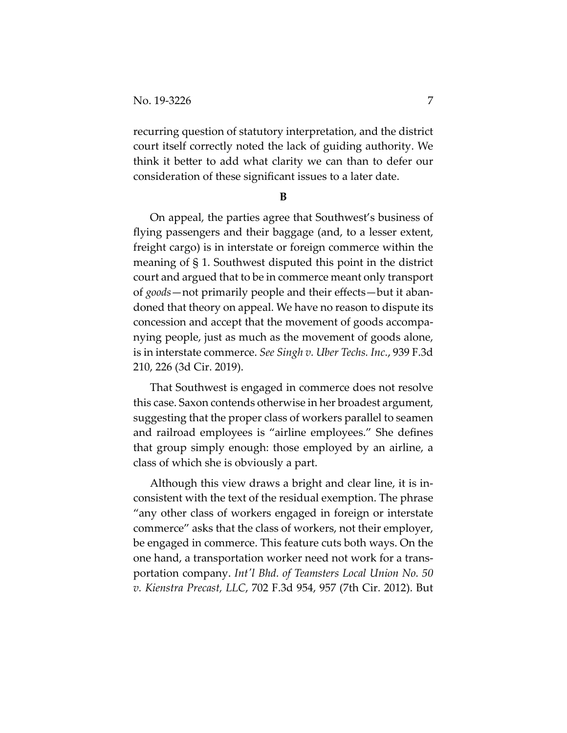recurring question of statutory interpretation, and the district court itself correctly noted the lack of guiding authority. We think it better to add what clarity we can than to defer our consideration of these significant issues to a later date.

**B** 

On appeal, the parties agree that Southwest's business of flying passengers and their baggage (and, to a lesser extent, freight cargo) is in interstate or foreign commerce within the meaning of § 1. Southwest disputed this point in the district court and argued that to be in commerce meant only transport of *goods*—not primarily people and their effects—but it abandoned that theory on appeal. We have no reason to dispute its concession and accept that the movement of goods accompanying people, just as much as the movement of goods alone, is in interstate commerce. *See Singh v. Uber Techs. Inc.*, 939 F.3d 210, 226 (3d Cir. 2019).

That Southwest is engaged in commerce does not resolve this case. Saxon contends otherwise in her broadest argument, suggesting that the proper class of workers parallel to seamen and railroad employees is "airline employees." She defines that group simply enough: those employed by an airline, a class of which she is obviously a part.

Although this view draws a bright and clear line, it is inconsistent with the text of the residual exemption. The phrase "any other class of workers engaged in foreign or interstate commerce" asks that the class of workers, not their employer, be engaged in commerce. This feature cuts both ways. On the one hand, a transportation worker need not work for a transportation company. *Intʹl Bhd. of Teamsters Local Union No. 50 v. Kienstra Precast, LLC*, 702 F.3d 954, 957 (7th Cir. 2012). But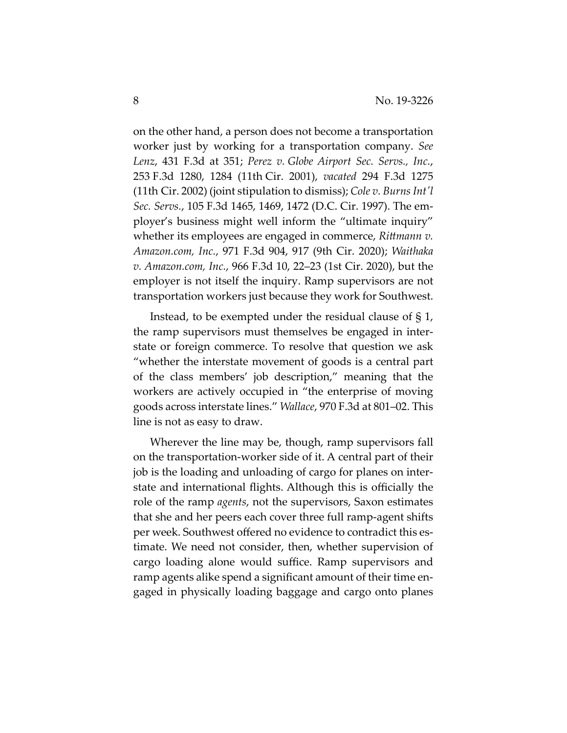on the other hand, a person does not become a transportation worker just by working for a transportation company. *See Lenz*, 431 F.3d at 351; *Perez v. Globe Airport Sec. Servs., Inc.*, 253 F.3d 1280, 1284 (11th Cir. 2001), *vacated* 294 F.3d 1275 (11th Cir. 2002) (joint stipulation to dismiss); *Cole v. Burns Intʹl Sec. Servs.*, 105 F.3d 1465, 1469, 1472 (D.C. Cir. 1997). The employer's business might well inform the "ultimate inquiry" whether its employees are engaged in commerce, *Rittmann v. Amazon.com, Inc.*, 971 F.3d 904, 917 (9th Cir. 2020); *Waithaka v. Amazon.com, Inc.*, 966 F.3d 10, 22–23 (1st Cir. 2020), but the employer is not itself the inquiry. Ramp supervisors are not transportation workers just because they work for Southwest.

Instead, to be exempted under the residual clause of § 1, the ramp supervisors must themselves be engaged in interstate or foreign commerce. To resolve that question we ask "whether the interstate movement of goods is a central part of the class members' job description," meaning that the workers are actively occupied in "the enterprise of moving goods across interstate lines." *Wallace*, 970 F.3d at 801–02. This line is not as easy to draw.

Wherever the line may be, though, ramp supervisors fall on the transportation-worker side of it. A central part of their job is the loading and unloading of cargo for planes on interstate and international flights. Although this is officially the role of the ramp *agents*, not the supervisors, Saxon estimates that she and her peers each cover three full ramp-agent shifts per week. Southwest offered no evidence to contradict this estimate. We need not consider, then, whether supervision of cargo loading alone would suffice. Ramp supervisors and ramp agents alike spend a significant amount of their time engaged in physically loading baggage and cargo onto planes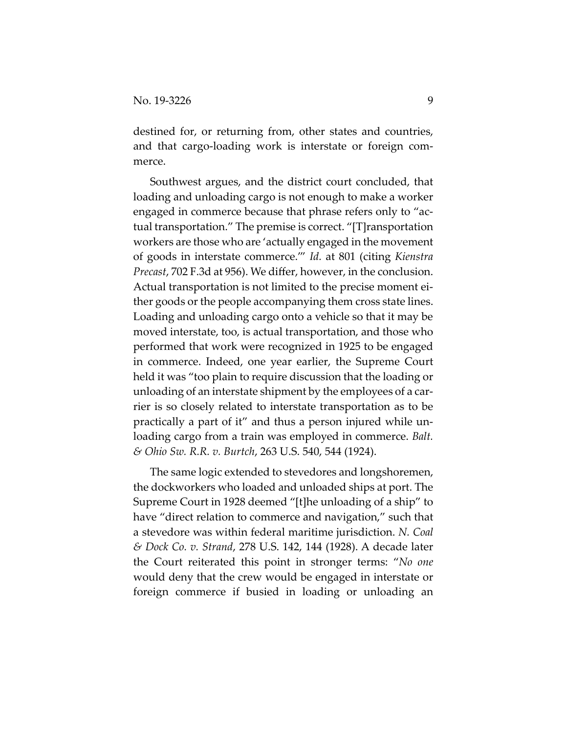destined for, or returning from, other states and countries, and that cargo-loading work is interstate or foreign commerce.

Southwest argues, and the district court concluded, that loading and unloading cargo is not enough to make a worker engaged in commerce because that phrase refers only to "actual transportation." The premise is correct. "[T]ransportation workers are those who are 'actually engaged in the movement of goods in interstate commerce.'" *Id.* at 801 (citing *Kienstra Precast*, 702 F.3d at 956). We differ, however, in the conclusion. Actual transportation is not limited to the precise moment either goods or the people accompanying them cross state lines. Loading and unloading cargo onto a vehicle so that it may be moved interstate, too, is actual transportation, and those who performed that work were recognized in 1925 to be engaged in commerce. Indeed, one year earlier, the Supreme Court held it was "too plain to require discussion that the loading or unloading of an interstate shipment by the employees of a carrier is so closely related to interstate transportation as to be practically a part of it" and thus a person injured while unloading cargo from a train was employed in commerce. *Balt. & Ohio Sw. R.R. v. Burtch*, 263 U.S. 540, 544 (1924).

The same logic extended to stevedores and longshoremen, the dockworkers who loaded and unloaded ships at port. The Supreme Court in 1928 deemed "[t]he unloading of a ship" to have "direct relation to commerce and navigation," such that a stevedore was within federal maritime jurisdiction. *N. Coal & Dock Co. v. Strand*, 278 U.S. 142, 144 (1928). A decade later the Court reiterated this point in stronger terms: "*No one* would deny that the crew would be engaged in interstate or foreign commerce if busied in loading or unloading an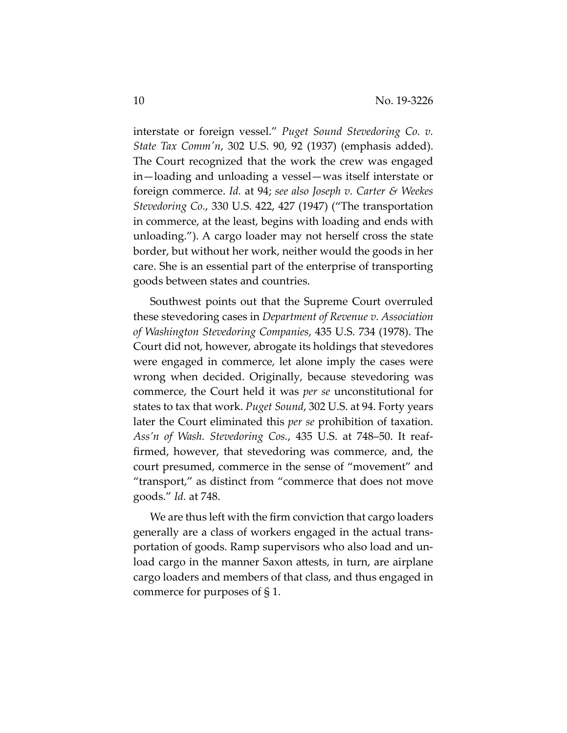interstate or foreign vessel." *Puget Sound Stevedoring Co. v. State Tax Commʹn*, 302 U.S. 90, 92 (1937) (emphasis added). The Court recognized that the work the crew was engaged in—loading and unloading a vessel—was itself interstate or foreign commerce. *Id.* at 94; *see also Joseph v. Carter & Weekes Stevedoring Co.*, 330 U.S. 422, 427 (1947) ("The transportation in commerce, at the least, begins with loading and ends with unloading."). A cargo loader may not herself cross the state border, but without her work, neither would the goods in her care. She is an essential part of the enterprise of transporting goods between states and countries.

Southwest points out that the Supreme Court overruled these stevedoring cases in *Department of Revenue v. Association of Washington Stevedoring Companies*, 435 U.S. 734 (1978). The Court did not, however, abrogate its holdings that stevedores were engaged in commerce, let alone imply the cases were wrong when decided. Originally, because stevedoring was commerce, the Court held it was *per se* unconstitutional for states to tax that work. *Puget Sound*, 302 U.S. at 94. Forty years later the Court eliminated this *per se* prohibition of taxation. *Ass'n of Wash. Stevedoring Cos.*, 435 U.S. at 748–50. It reaffirmed, however, that stevedoring was commerce, and, the court presumed, commerce in the sense of "movement" and "transport," as distinct from "commerce that does not move goods." *Id.* at 748.

We are thus left with the firm conviction that cargo loaders generally are a class of workers engaged in the actual transportation of goods. Ramp supervisors who also load and unload cargo in the manner Saxon attests, in turn, are airplane cargo loaders and members of that class, and thus engaged in commerce for purposes of § 1.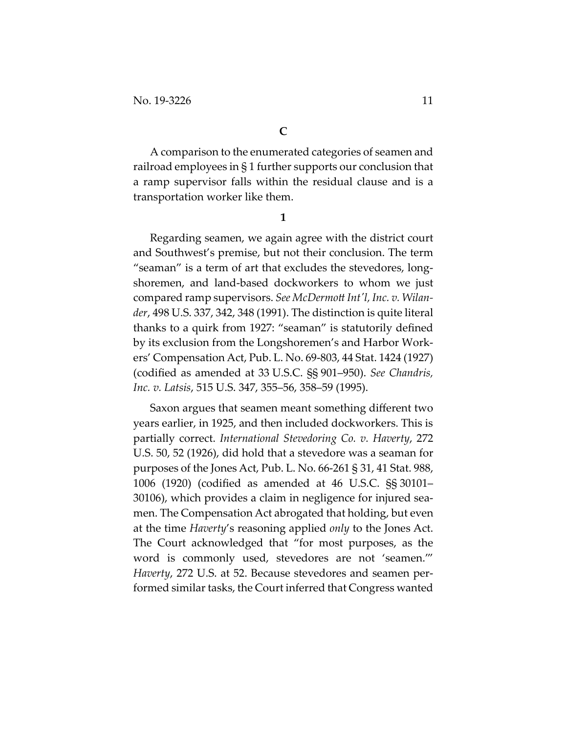A comparison to the enumerated categories of seamen and railroad employees in § 1 further supports our conclusion that a ramp supervisor falls within the residual clause and is a transportation worker like them.

**1** 

Regarding seamen, we again agree with the district court and Southwest's premise, but not their conclusion. The term "seaman" is a term of art that excludes the stevedores, longshoremen, and land-based dockworkers to whom we just compared ramp supervisors. *See McDermott Intʹl, Inc. v. Wilander*, 498 U.S. 337, 342, 348 (1991). The distinction is quite literal thanks to a quirk from 1927: "seaman" is statutorily defined by its exclusion from the Longshoremen's and Harbor Workers' Compensation Act, Pub. L. No. 69-803, 44 Stat. 1424 (1927) (codified as amended at 33 U.S.C. §§ 901–950). *See Chandris, Inc. v. Latsis*, 515 U.S. 347, 355–56, 358–59 (1995).

Saxon argues that seamen meant something different two years earlier, in 1925, and then included dockworkers. This is partially correct. *International Stevedoring Co. v. Haverty*, 272 U.S. 50, 52 (1926), did hold that a stevedore was a seaman for purposes of the Jones Act, Pub. L. No. 66-261 § 31, 41 Stat. 988, 1006 (1920) (codified as amended at 46 U.S.C. §§ 30101– 30106), which provides a claim in negligence for injured seamen. The Compensation Act abrogated that holding, but even at the time *Haverty*'s reasoning applied *only* to the Jones Act. The Court acknowledged that "for most purposes, as the word is commonly used, stevedores are not 'seamen.'" *Haverty*, 272 U.S. at 52. Because stevedores and seamen performed similar tasks, the Court inferred that Congress wanted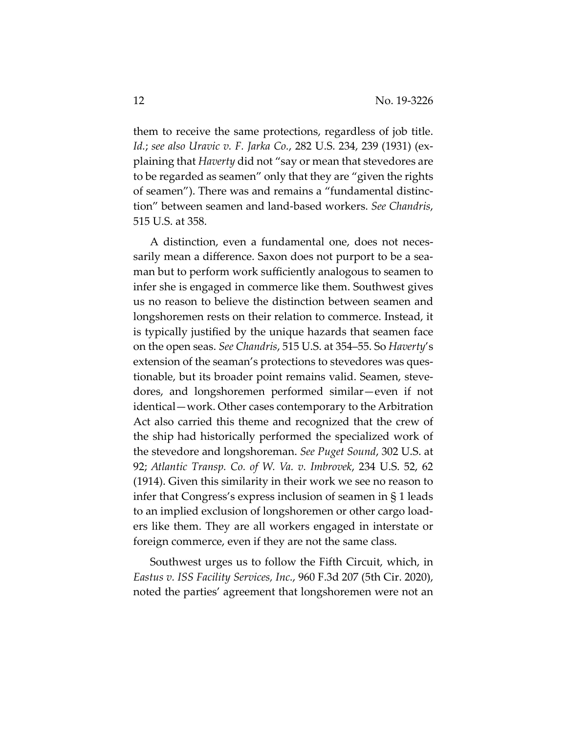them to receive the same protections, regardless of job title. *Id.*; *see also Uravic v. F. Jarka Co.*, 282 U.S. 234, 239 (1931) (explaining that *Haverty* did not "say or mean that stevedores are to be regarded as seamen" only that they are "given the rights of seamen"). There was and remains a "fundamental distinction" between seamen and land-based workers. *See Chandris*, 515 U.S. at 358.

A distinction, even a fundamental one, does not necessarily mean a difference. Saxon does not purport to be a seaman but to perform work sufficiently analogous to seamen to infer she is engaged in commerce like them. Southwest gives us no reason to believe the distinction between seamen and longshoremen rests on their relation to commerce. Instead, it is typically justified by the unique hazards that seamen face on the open seas. *See Chandris*, 515 U.S. at 354–55. So *Haverty*'s extension of the seaman's protections to stevedores was questionable, but its broader point remains valid. Seamen, stevedores, and longshoremen performed similar—even if not identical—work. Other cases contemporary to the Arbitration Act also carried this theme and recognized that the crew of the ship had historically performed the specialized work of the stevedore and longshoreman. *See Puget Sound*, 302 U.S. at 92; *Atlantic Transp. Co. of W. Va. v. Imbrovek*, 234 U.S. 52, 62 (1914). Given this similarity in their work we see no reason to infer that Congress's express inclusion of seamen in § 1 leads to an implied exclusion of longshoremen or other cargo loaders like them. They are all workers engaged in interstate or foreign commerce, even if they are not the same class.

Southwest urges us to follow the Fifth Circuit, which, in *Eastus v. ISS Facility Services, Inc.*, 960 F.3d 207 (5th Cir. 2020), noted the parties' agreement that longshoremen were not an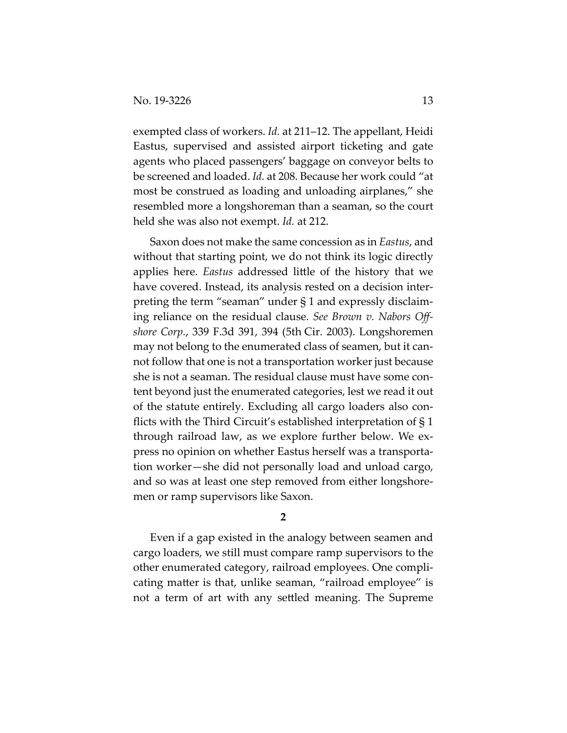exempted class of workers. *Id.* at 211–12. The appellant, Heidi Eastus, supervised and assisted airport ticketing and gate agents who placed passengers' baggage on conveyor belts to be screened and loaded. *Id.* at 208. Because her work could "at most be construed as loading and unloading airplanes," she resembled more a longshoreman than a seaman, so the court held she was also not exempt. *Id.* at 212.

Saxon does not make the same concession as in *Eastus*, and without that starting point, we do not think its logic directly applies here. *Eastus* addressed little of the history that we have covered. Instead, its analysis rested on a decision interpreting the term "seaman" under § 1 and expressly disclaiming reliance on the residual clause. *See Brown v. Nabors Offshore Corp.*, 339 F.3d 391, 394 (5th Cir. 2003). Longshoremen may not belong to the enumerated class of seamen, but it cannot follow that one is not a transportation worker just because she is not a seaman. The residual clause must have some content beyond just the enumerated categories, lest we read it out of the statute entirely. Excluding all cargo loaders also conflicts with the Third Circuit's established interpretation of § 1 through railroad law, as we explore further below. We express no opinion on whether Eastus herself was a transportation worker—she did not personally load and unload cargo, and so was at least one step removed from either longshoremen or ramp supervisors like Saxon.

# **2**

Even if a gap existed in the analogy between seamen and cargo loaders, we still must compare ramp supervisors to the other enumerated category, railroad employees. One complicating matter is that, unlike seaman, "railroad employee" is not a term of art with any settled meaning. The Supreme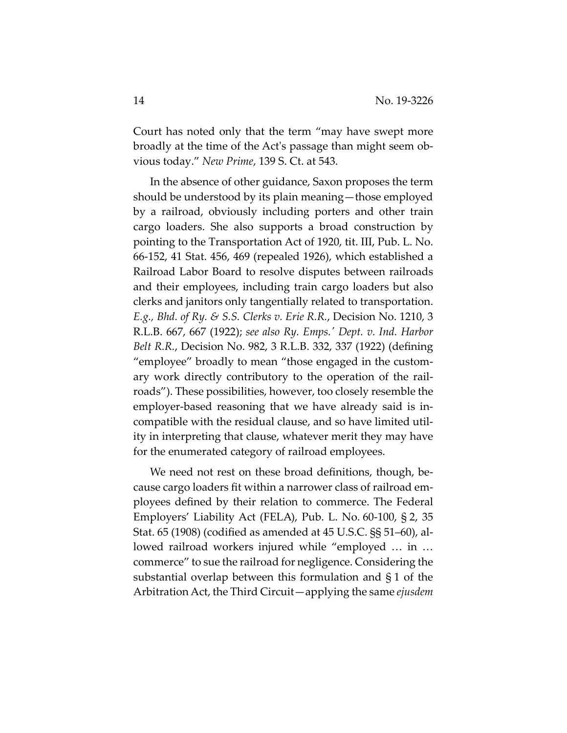Court has noted only that the term "may have swept more broadly at the time of the Actʹs passage than might seem obvious today." *New Prime*, 139 S. Ct. at 543.

In the absence of other guidance, Saxon proposes the term should be understood by its plain meaning—those employed by a railroad, obviously including porters and other train cargo loaders. She also supports a broad construction by pointing to the Transportation Act of 1920, tit. III, Pub. L. No. 66-152, 41 Stat. 456, 469 (repealed 1926), which established a Railroad Labor Board to resolve disputes between railroads and their employees, including train cargo loaders but also clerks and janitors only tangentially related to transportation. *E.g., Bhd. of Ry. & S.S. Clerks v. Erie R.R.*, Decision No. 1210, 3 R.L.B. 667, 667 (1922); *see also Ry. Emps.ʹ Dept. v. Ind. Harbor Belt R.R.*, Decision No. 982, 3 R.L.B. 332, 337 (1922) (defining "employee" broadly to mean "those engaged in the customary work directly contributory to the operation of the railroads"). These possibilities, however, too closely resemble the employer-based reasoning that we have already said is incompatible with the residual clause, and so have limited utility in interpreting that clause, whatever merit they may have for the enumerated category of railroad employees.

We need not rest on these broad definitions, though, because cargo loaders fit within a narrower class of railroad employees defined by their relation to commerce. The Federal Employers' Liability Act (FELA), Pub. L. No. 60-100, § 2, 35 Stat. 65 (1908) (codified as amended at 45 U.S.C. §§ 51–60), allowed railroad workers injured while "employed … in … commerce" to sue the railroad for negligence. Considering the substantial overlap between this formulation and § 1 of the Arbitration Act, the Third Circuit—applying the same *ejusdem*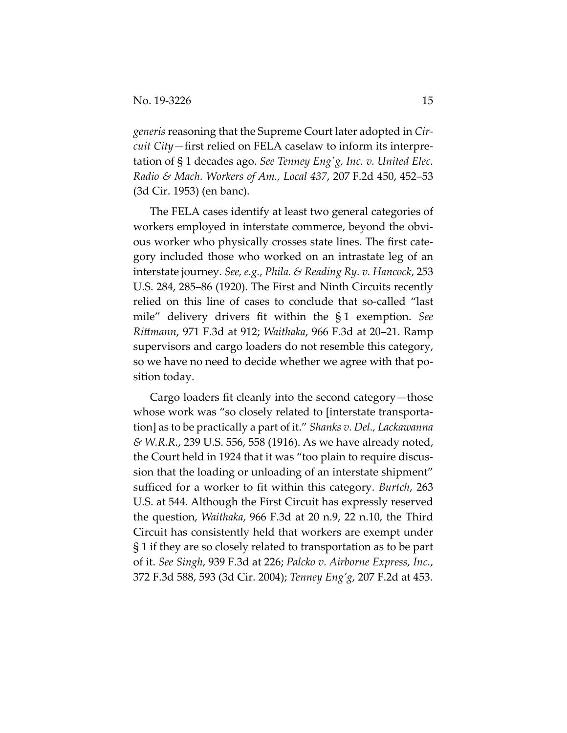*generis* reasoning that the Supreme Court later adopted in *Circuit City*—first relied on FELA caselaw to inform its interpretation of § 1 decades ago. *See Tenney Engʹg, Inc. v. United Elec. Radio & Mach. Workers of Am., Local 437*, 207 F.2d 450, 452–53 (3d Cir. 1953) (en banc).

The FELA cases identify at least two general categories of workers employed in interstate commerce, beyond the obvious worker who physically crosses state lines. The first category included those who worked on an intrastate leg of an interstate journey. *See, e.g.*, *Phila. & Reading Ry. v. Hancock*, 253 U.S. 284, 285–86 (1920). The First and Ninth Circuits recently relied on this line of cases to conclude that so-called "last mile" delivery drivers fit within the § 1 exemption. *See Rittmann*, 971 F.3d at 912; *Waithaka*, 966 F.3d at 20–21. Ramp supervisors and cargo loaders do not resemble this category, so we have no need to decide whether we agree with that position today.

Cargo loaders fit cleanly into the second category—those whose work was "so closely related to [interstate transportation] as to be practically a part of it." *Shanks v. Del., Lackawanna & W.R.R.*, 239 U.S. 556, 558 (1916). As we have already noted, the Court held in 1924 that it was "too plain to require discussion that the loading or unloading of an interstate shipment" sufficed for a worker to fit within this category. *Burtch*, 263 U.S. at 544. Although the First Circuit has expressly reserved the question, *Waithaka*, 966 F.3d at 20 n.9, 22 n.10, the Third Circuit has consistently held that workers are exempt under § 1 if they are so closely related to transportation as to be part of it. *See Singh*, 939 F.3d at 226; *Palcko v. Airborne Express, Inc.*, 372 F.3d 588, 593 (3d Cir. 2004); *Tenney Eng'g*, 207 F.2d at 453.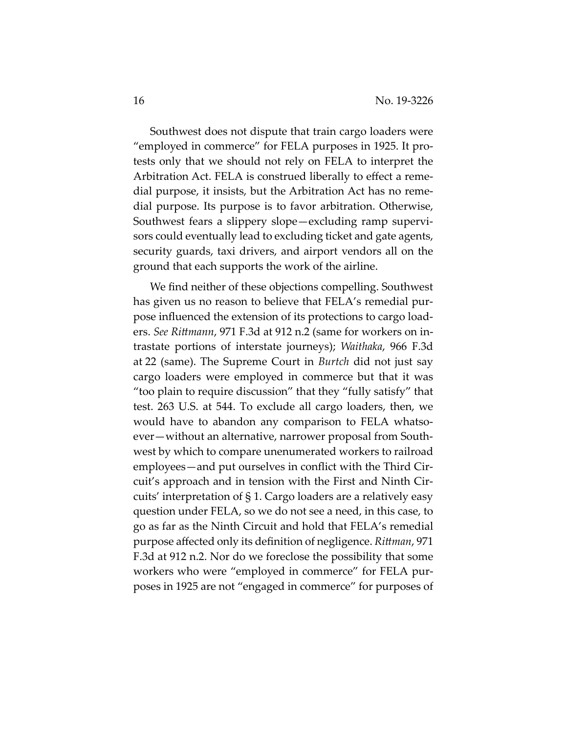Southwest does not dispute that train cargo loaders were "employed in commerce" for FELA purposes in 1925. It protests only that we should not rely on FELA to interpret the Arbitration Act. FELA is construed liberally to effect a remedial purpose, it insists, but the Arbitration Act has no remedial purpose. Its purpose is to favor arbitration. Otherwise, Southwest fears a slippery slope—excluding ramp supervisors could eventually lead to excluding ticket and gate agents, security guards, taxi drivers, and airport vendors all on the ground that each supports the work of the airline.

We find neither of these objections compelling. Southwest has given us no reason to believe that FELA's remedial purpose influenced the extension of its protections to cargo loaders. *See Rittmann*, 971 F.3d at 912 n.2 (same for workers on intrastate portions of interstate journeys); *Waithaka*, 966 F.3d at 22 (same). The Supreme Court in *Burtch* did not just say cargo loaders were employed in commerce but that it was "too plain to require discussion" that they "fully satisfy" that test. 263 U.S. at 544. To exclude all cargo loaders, then, we would have to abandon any comparison to FELA whatsoever—without an alternative, narrower proposal from Southwest by which to compare unenumerated workers to railroad employees—and put ourselves in conflict with the Third Circuit's approach and in tension with the First and Ninth Circuits' interpretation of § 1. Cargo loaders are a relatively easy question under FELA, so we do not see a need, in this case, to go as far as the Ninth Circuit and hold that FELA's remedial purpose affected only its definition of negligence. *Rittman*, 971 F.3d at 912 n.2. Nor do we foreclose the possibility that some workers who were "employed in commerce" for FELA purposes in 1925 are not "engaged in commerce" for purposes of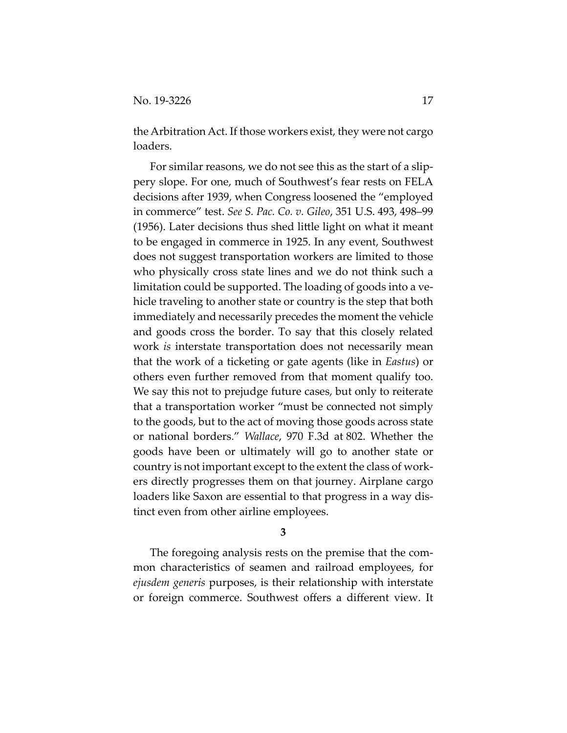the Arbitration Act. If those workers exist, they were not cargo loaders.

For similar reasons, we do not see this as the start of a slippery slope. For one, much of Southwest's fear rests on FELA decisions after 1939, when Congress loosened the "employed in commerce" test. *See S. Pac. Co. v. Gileo*, 351 U.S. 493, 498–99 (1956). Later decisions thus shed little light on what it meant to be engaged in commerce in 1925. In any event, Southwest does not suggest transportation workers are limited to those who physically cross state lines and we do not think such a limitation could be supported. The loading of goods into a vehicle traveling to another state or country is the step that both immediately and necessarily precedes the moment the vehicle and goods cross the border. To say that this closely related work *is* interstate transportation does not necessarily mean that the work of a ticketing or gate agents (like in *Eastus*) or others even further removed from that moment qualify too. We say this not to prejudge future cases, but only to reiterate that a transportation worker "must be connected not simply to the goods, but to the act of moving those goods across state or national borders." *Wallace*, 970 F.3d at 802. Whether the goods have been or ultimately will go to another state or country is not important except to the extent the class of workers directly progresses them on that journey. Airplane cargo loaders like Saxon are essential to that progress in a way distinct even from other airline employees.

**3** 

The foregoing analysis rests on the premise that the common characteristics of seamen and railroad employees, for *ejusdem generis* purposes, is their relationship with interstate or foreign commerce. Southwest offers a different view. It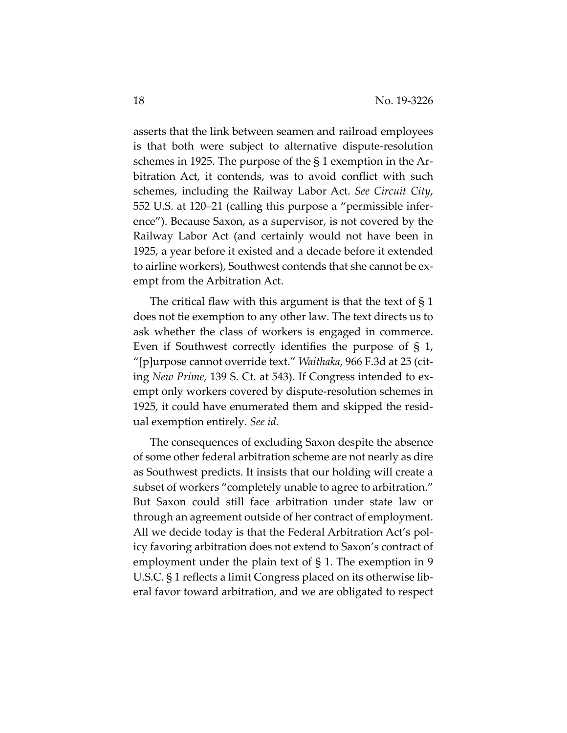asserts that the link between seamen and railroad employees is that both were subject to alternative dispute-resolution schemes in 1925. The purpose of the § 1 exemption in the Arbitration Act, it contends, was to avoid conflict with such schemes, including the Railway Labor Act. *See Circuit City*, 552 U.S. at 120–21 (calling this purpose a "permissible inference"). Because Saxon, as a supervisor, is not covered by the Railway Labor Act (and certainly would not have been in 1925, a year before it existed and a decade before it extended to airline workers), Southwest contends that she cannot be exempt from the Arbitration Act.

The critical flaw with this argument is that the text of § 1 does not tie exemption to any other law. The text directs us to ask whether the class of workers is engaged in commerce. Even if Southwest correctly identifies the purpose of § 1, "[p]urpose cannot override text." *Waithaka*, 966 F.3d at 25 (citing *New Prime*, 139 S. Ct. at 543). If Congress intended to exempt only workers covered by dispute-resolution schemes in 1925, it could have enumerated them and skipped the residual exemption entirely. *See id.* 

The consequences of excluding Saxon despite the absence of some other federal arbitration scheme are not nearly as dire as Southwest predicts. It insists that our holding will create a subset of workers "completely unable to agree to arbitration." But Saxon could still face arbitration under state law or through an agreement outside of her contract of employment. All we decide today is that the Federal Arbitration Act's policy favoring arbitration does not extend to Saxon's contract of employment under the plain text of § 1. The exemption in 9 U.S.C. § 1 reflects a limit Congress placed on its otherwise liberal favor toward arbitration, and we are obligated to respect